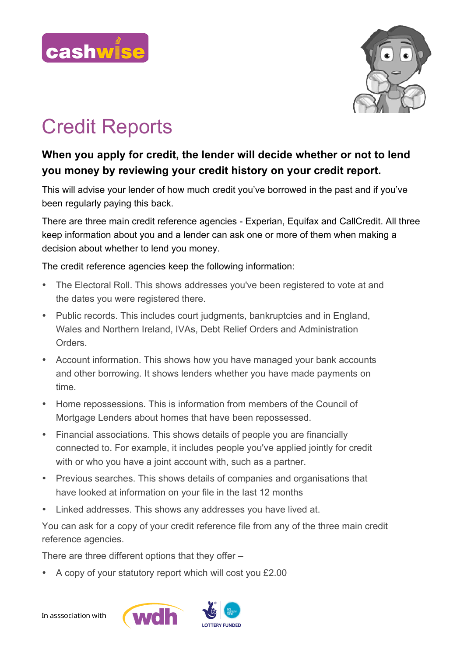



## Credit Reports

## **When you apply for credit, the lender will decide whether or not to lend you money by reviewing your credit history on your credit report.**

This will advise your lender of how much credit you've borrowed in the past and if you've been regularly paying this back.

There are three main credit reference agencies - Experian, Equifax and CallCredit. All three keep information about you and a lender can ask one or more of them when making a decision about whether to lend you money.

The credit reference agencies keep the following information:

- The Electoral Roll. This shows addresses you've been registered to vote at and the dates you were registered there.
- Public records. This includes court judgments, bankruptcies and in England, Wales and Northern Ireland, IVAs, Debt Relief Orders and Administration Orders.
- Account information. This shows how you have managed your bank accounts and other borrowing. It shows lenders whether you have made payments on time.
- Home repossessions. This is information from members of the Council of Mortgage Lenders about homes that have been repossessed.
- Financial associations. This shows details of people you are financially connected to. For example, it includes people you've applied jointly for credit with or who you have a joint account with, such as a partner.
- Previous searches. This shows details of companies and organisations that have looked at information on your file in the last 12 months
- Linked addresses. This shows any addresses you have lived at.

You can ask for a copy of your credit reference file from any of the three main credit reference agencies.

There are three different options that they offer –

• A copy of your statutory report which will cost you £2.00